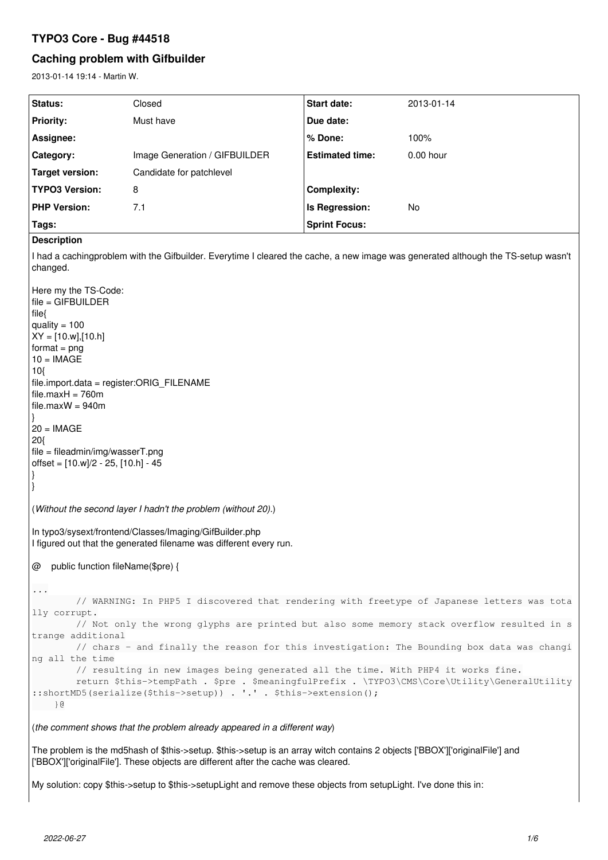# **TYPO3 Core - Bug #44518**

# **Caching problem with Gifbuilder**

2013-01-14 19:14 - Martin W.

| 2013-01-14 19:14 - Martin W.                                                                                                                                                                                                                                                                                                                                                                                                                                                                       |                               |                        |            |
|----------------------------------------------------------------------------------------------------------------------------------------------------------------------------------------------------------------------------------------------------------------------------------------------------------------------------------------------------------------------------------------------------------------------------------------------------------------------------------------------------|-------------------------------|------------------------|------------|
| Status:                                                                                                                                                                                                                                                                                                                                                                                                                                                                                            | Closed                        | Start date:            | 2013-01-14 |
| <b>Priority:</b>                                                                                                                                                                                                                                                                                                                                                                                                                                                                                   | Must have                     | Due date:              |            |
| Assignee:                                                                                                                                                                                                                                                                                                                                                                                                                                                                                          |                               | % Done:                | 100%       |
| Category:                                                                                                                                                                                                                                                                                                                                                                                                                                                                                          | Image Generation / GIFBUILDER | <b>Estimated time:</b> | 0.00 hour  |
| <b>Target version:</b>                                                                                                                                                                                                                                                                                                                                                                                                                                                                             | Candidate for patchlevel      |                        |            |
| <b>TYPO3 Version:</b>                                                                                                                                                                                                                                                                                                                                                                                                                                                                              | 8                             | <b>Complexity:</b>     |            |
| <b>PHP Version:</b>                                                                                                                                                                                                                                                                                                                                                                                                                                                                                | 7.1                           | Is Regression:         | No         |
| Tags:                                                                                                                                                                                                                                                                                                                                                                                                                                                                                              |                               | <b>Sprint Focus:</b>   |            |
| <b>Description</b>                                                                                                                                                                                                                                                                                                                                                                                                                                                                                 |                               |                        |            |
| I had a cachingproblem with the Gifbuilder. Everytime I cleared the cache, a new image was generated although the TS-setup wasn't<br>changed.<br>Here my the TS-Code:<br>file = GIFBUILDER<br>file{<br>quality = $100$<br>$XY = [10.w], [10.h]$<br>format = $png$<br>$10 = IMAGE$<br>10<br>file.import.data = register:ORIG_FILENAME<br>file.maxH = 760m<br>file.maxW = 940m<br> }<br>$20 = IMAGE$<br>20{<br>file = fileadmin/img/wasserT.png<br>offset = [10.w]/2 - 25, [10.h] - 45<br>$\vert \}$ |                               |                        |            |
| (Without the second layer I hadn't the problem (without 20).)                                                                                                                                                                                                                                                                                                                                                                                                                                      |                               |                        |            |
| In typo3/sysext/frontend/Classes/Imaging/GifBuilder.php<br>I figured out that the generated filename was different every run.                                                                                                                                                                                                                                                                                                                                                                      |                               |                        |            |
| @ public function fileName(\$pre) {                                                                                                                                                                                                                                                                                                                                                                                                                                                                |                               |                        |            |
| $\ddots$<br>// WARNING: In PHP5 I discovered that rendering with freetype of Japanese letters was tota<br>lly corrupt.<br>// Not only the wrong glyphs are printed but also some memory stack overflow resulted in s<br>trange additional                                                                                                                                                                                                                                                          |                               |                        |            |

```
        // chars - and finally the reason for this investigation: The Bounding box data was changi
ng all the time
                // resulting in new images being generated all the time. With PHP4 it works fine.
```

```
return $this->tempPath . $pre . $meaningfulPrefix . \TYPO3\CMS\Core\Utility\GeneralUtility
::shortMD5(serialize($this->setup)) . '.' . $this->extension();
       }@
```
(*the comment shows that the problem already appeared in a different way*)

The problem is the md5hash of \$this->setup. \$this->setup is an array witch contains 2 objects ['BBOX']['originalFile'] and ['BBOX']['originalFile']. These objects are different after the cache was cleared.

My solution: copy \$this->setup to \$this->setupLight and remove these objects from setupLight. I've done this in: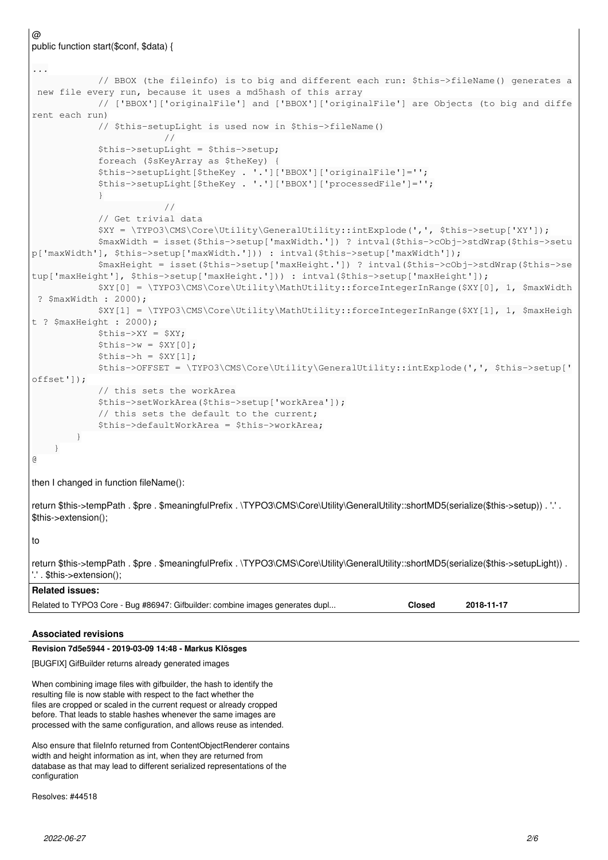```
@
public function start($conf, $data) {
...
                          // BBOX (the fileinfo) is to big and different each run: $this->fileName() generates a
  new file every run, because it uses a md5hash of this array
                          // ['BBOX']['originalFile'] and ['BBOX']['originalFile'] are Objects (to big and diffe
rent each run)
                          // $this-setupLight is used now in $this->fileName()
                        //
                          $this->setupLight = $this->setup;
                          foreach ($sKeyArray as $theKey) {
                          $this->setupLight[$theKey . '.']['BBOX']['originalFile']='';
                          $this->setupLight[$theKey . '.']['BBOX']['processedFile']='';
            }
                        //
                          // Get trivial data
                          $XY = \TYPO3\CMS\Core\Utility\GeneralUtility::intExplode(',', $this->setup['XY']);
                          $maxWidth = isset($this->setup['maxWidth.']) ? intval($this->cObj->stdWrap($this->setu
p['maxWidth'], $this->setup['maxWidth.'])) : intval($this->setup['maxWidth']);
                          $maxHeight = isset($this->setup['maxHeight.']) ? intval($this->cObj->stdWrap($this->se
tup['maxHeight'], $this->setup['maxHeight.'])) : intval($this->setup['maxHeight']);
                          $XY[0] = \TYPO3\CMS\Core\Utility\MathUtility::forceIntegerInRange($XY[0], 1, $maxWidth
  ? $maxWidth : 2000);
                          $XY[1] = \TYPO3\CMS\Core\Utility\MathUtility::forceIntegerInRange($XY[1], 1, $maxHeigh
t ? $maxHeight : 2000);
              $this->XY = $XY;$this->w = $XY[0];$this->h = $XY[1];            $this->OFFSET = \TYPO3\CMS\Core\Utility\GeneralUtility::intExplode(',', $this->setup['
offset']);
                          // this sets the workArea
                          $this->setWorkArea($this->setup['workArea']);
                          // this sets the default to the current;
                          $this->defaultWorkArea = $this->workArea;
       \qquad \}\qquad \}@
then I changed in function fileName():
return $this->tempPath . $pre . $meaningfulPrefix . \TYPO3\CMS\Core\Utility\GeneralUtility::shortMD5(serialize($this->setup)) . '.' .
$this->extension();
to
return $this->tempPath . $pre . $meaningfulPrefix . \TYPO3\CMS\Core\Utility\GeneralUtility::shortMD5(serialize($this->setupLight)) .
'.' . $this->extension();
Related issues:
Related to TYPO3 Core - Bug #86947: Gifbuilder: combine images generates dupl... Closed 2018-11-17
```
## **Associated revisions**

## **Revision 7d5e5944 - 2019-03-09 14:48 - Markus Klösges**

[BUGFIX] GifBuilder returns already generated images

When combining image files with gifbuilder, the hash to identify the resulting file is now stable with respect to the fact whether the files are cropped or scaled in the current request or already cropped before. That leads to stable hashes whenever the same images are processed with the same configuration, and allows reuse as intended.

Also ensure that fileInfo returned from ContentObjectRenderer contains width and height information as int, when they are returned from database as that may lead to different serialized representations of the configuration

Resolves: #44518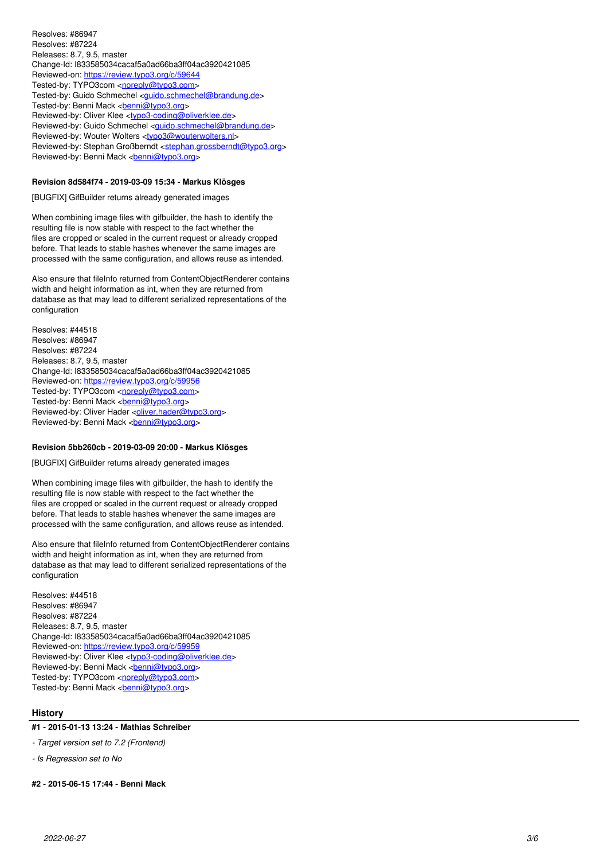Resolves: #86947 Resolves: #87224 Releases: 8.7, 9.5, master Change-Id: I833585034cacaf5a0ad66ba3ff04ac3920421085 Reviewed-on:<https://review.typo3.org/c/59644> Tested-by: TYPO3com <<u>noreply@typo3.com</u>> Tested-by: Guido Schmechel [<guido.schmechel@brandung.de](mailto:guido.schmechel@brandung.de)> Tested-by: Benni Mack <<u>[benni@typo3.org](mailto:benni@typo3.org)</u>> Reviewed-by: Oliver Klee <<u>[typo3-coding@oliverklee.de](mailto:typo3-coding@oliverklee.de)</u>> Reviewed-by: Guido Schmechel <[guido.schmechel@brandung.de](mailto:guido.schmechel@brandung.de)> Reviewed-by: Wouter Wolters <<u>[typo3@wouterwolters.nl](mailto:typo3@wouterwolters.nl)</u>> Reviewed-by: Stephan Großberndt <[stephan.grossberndt@typo3.org](mailto:stephan.grossberndt@typo3.org)> Reviewed-by: Benni Mack <*[benni@typo3.org](mailto:benni@typo3.org)>* 

## **Revision 8d584f74 - 2019-03-09 15:34 - Markus Klösges**

[BUGFIX] GifBuilder returns already generated images

When combining image files with gifbuilder, the hash to identify the resulting file is now stable with respect to the fact whether the files are cropped or scaled in the current request or already cropped before. That leads to stable hashes whenever the same images are processed with the same configuration, and allows reuse as intended.

Also ensure that fileInfo returned from ContentObjectRenderer contains width and height information as int, when they are returned from database as that may lead to different serialized representations of the configuration

Resolves: #44518 Resolves: #86947 Resolves: #87224 Releases: 8.7, 9.5, master Change-Id: I833585034cacaf5a0ad66ba3ff04ac3920421085 Reviewed-on:<https://review.typo3.org/c/59956> Tested-by: TYPO3com <<u>noreply@typo3.com</u>> Tested-by: Benni Mack <<u>[benni@typo3.org](mailto:benni@typo3.org)</u>> Reviewed-by: Oliver Hader < [oliver.hader@typo3.org](mailto:oliver.hader@typo3.org)> Reviewed-by: Benni Mack <*[benni@typo3.org](mailto:benni@typo3.org)>* 

#### **Revision 5bb260cb - 2019-03-09 20:00 - Markus Klösges**

[BUGFIX] GifBuilder returns already generated images

When combining image files with gifbuilder, the hash to identify the resulting file is now stable with respect to the fact whether the files are cropped or scaled in the current request or already cropped before. That leads to stable hashes whenever the same images are processed with the same configuration, and allows reuse as intended.

Also ensure that fileInfo returned from ContentObjectRenderer contains width and height information as int, when they are returned from database as that may lead to different serialized representations of the configuration

Resolves: #44518 Resolves: #86947 Resolves: #87224 Releases: 8.7, 9.5, master Change-Id: I833585034cacaf5a0ad66ba3ff04ac3920421085 Reviewed-on:<https://review.typo3.org/c/59959> Reviewed-by: Oliver Klee <<u>[typo3-coding@oliverklee.de](mailto:typo3-coding@oliverklee.de)</u>> Reviewed-by: Benni Mack <*[benni@typo3.org](mailto:benni@typo3.org)>* Tested-by: TYPO3com <<u>noreply@typo3.com</u>> Tested-by: Benni Mack <<u>[benni@typo3.org](mailto:benni@typo3.org)</u>>

#### **History**

## **#1 - 2015-01-13 13:24 - Mathias Schreiber**

*- Target version set to 7.2 (Frontend)*

*- Is Regression set to No*

#### **#2 - 2015-06-15 17:44 - Benni Mack**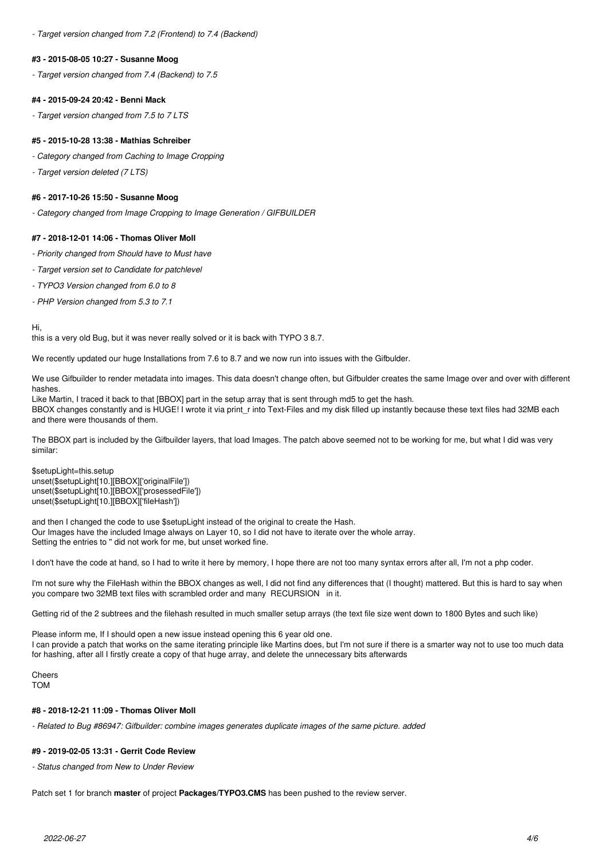*- Target version changed from 7.2 (Frontend) to 7.4 (Backend)*

#### **#3 - 2015-08-05 10:27 - Susanne Moog**

*- Target version changed from 7.4 (Backend) to 7.5*

## **#4 - 2015-09-24 20:42 - Benni Mack**

*- Target version changed from 7.5 to 7 LTS*

## **#5 - 2015-10-28 13:38 - Mathias Schreiber**

*- Category changed from Caching to Image Cropping*

*- Target version deleted (7 LTS)*

## **#6 - 2017-10-26 15:50 - Susanne Moog**

*- Category changed from Image Cropping to Image Generation / GIFBUILDER*

## **#7 - 2018-12-01 14:06 - Thomas Oliver Moll**

- *Priority changed from Should have to Must have*
- *Target version set to Candidate for patchlevel*
- *TYPO3 Version changed from 6.0 to 8*
- *PHP Version changed from 5.3 to 7.1*

Hi,

this is a very old Bug, but it was never really solved or it is back with TYPO 3 8.7.

We recently updated our huge Installations from 7.6 to 8.7 and we now run into issues with the Gifbulder.

We use Gifbuilder to render metadata into images. This data doesn't change often, but Gifbulder creates the same Image over and over with different hashes.

Like Martin, I traced it back to that [BBOX] part in the setup array that is sent through md5 to get the hash. BBOX changes constantly and is HUGE! I wrote it via print r into Text-Files and my disk filled up instantly because these text files had 32MB each and there were thousands of them.

The BBOX part is included by the Gifbuilder layers, that load Images. The patch above seemed not to be working for me, but what I did was very similar:

\$setupLight=this.setup unset(\$setupLight[10.][BBOX]['originalFile']) unset(\$setupLight[10.][BBOX]['prosessedFile']) unset(\$setupLight[10.][BBOX]['fileHash'])

and then I changed the code to use \$setupLight instead of the original to create the Hash. Our Images have the included Image always on Layer 10, so I did not have to iterate over the whole array. Setting the entries to " did not work for me, but unset worked fine.

I don't have the code at hand, so I had to write it here by memory, I hope there are not too many syntax errors after all, I'm not a php coder.

I'm not sure why the FileHash within the BBOX changes as well, I did not find any differences that (I thought) mattered. But this is hard to say when you compare two 32MB text files with scrambled order and many RECURSION in it.

Getting rid of the 2 subtrees and the filehash resulted in much smaller setup arrays (the text file size went down to 1800 Bytes and such like)

Please inform me, If I should open a new issue instead opening this 6 year old one. I can provide a patch that works on the same iterating principle like Martins does, but I'm not sure if there is a smarter way not to use too much data for hashing, after all I firstly create a copy of that huge array, and delete the unnecessary bits afterwards

Cheers TOM

## **#8 - 2018-12-21 11:09 - Thomas Oliver Moll**

*- Related to Bug #86947: Gifbuilder: combine images generates duplicate images of the same picture. added*

## **#9 - 2019-02-05 13:31 - Gerrit Code Review**

*- Status changed from New to Under Review*

Patch set 1 for branch **master** of project **Packages/TYPO3.CMS** has been pushed to the review server.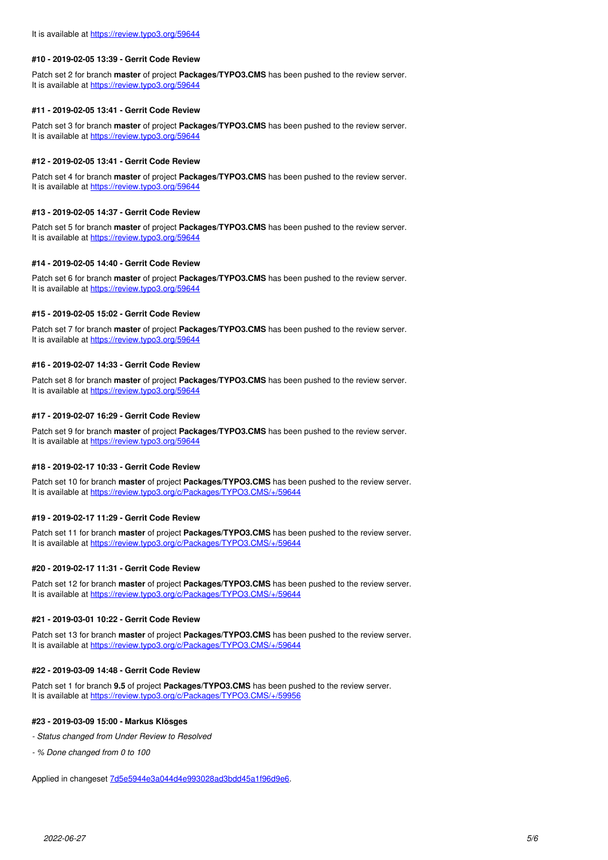#### **#10 - 2019-02-05 13:39 - Gerrit Code Review**

Patch set 2 for branch **master** of project **Packages/TYPO3.CMS** has been pushed to the review server. It is available at <https://review.typo3.org/59644>

#### **#11 - 2019-02-05 13:41 - Gerrit Code Review**

Patch set 3 for branch **master** of project **Packages/TYPO3.CMS** has been pushed to the review server. It is available at <https://review.typo3.org/59644>

#### **#12 - 2019-02-05 13:41 - Gerrit Code Review**

Patch set 4 for branch **master** of project **Packages/TYPO3.CMS** has been pushed to the review server. It is available at <https://review.typo3.org/59644>

## **#13 - 2019-02-05 14:37 - Gerrit Code Review**

Patch set 5 for branch **master** of project **Packages/TYPO3.CMS** has been pushed to the review server. It is available at <https://review.typo3.org/59644>

#### **#14 - 2019-02-05 14:40 - Gerrit Code Review**

Patch set 6 for branch **master** of project **Packages/TYPO3.CMS** has been pushed to the review server. It is available at <https://review.typo3.org/59644>

#### **#15 - 2019-02-05 15:02 - Gerrit Code Review**

Patch set 7 for branch **master** of project **Packages/TYPO3.CMS** has been pushed to the review server. It is available at <https://review.typo3.org/59644>

#### **#16 - 2019-02-07 14:33 - Gerrit Code Review**

Patch set 8 for branch **master** of project **Packages/TYPO3.CMS** has been pushed to the review server. It is available at <https://review.typo3.org/59644>

#### **#17 - 2019-02-07 16:29 - Gerrit Code Review**

Patch set 9 for branch **master** of project **Packages/TYPO3.CMS** has been pushed to the review server. It is available at <https://review.typo3.org/59644>

#### **#18 - 2019-02-17 10:33 - Gerrit Code Review**

Patch set 10 for branch **master** of project **Packages/TYPO3.CMS** has been pushed to the review server. It is available at <https://review.typo3.org/c/Packages/TYPO3.CMS/+/59644>

#### **#19 - 2019-02-17 11:29 - Gerrit Code Review**

Patch set 11 for branch **master** of project **Packages/TYPO3.CMS** has been pushed to the review server. It is available at <https://review.typo3.org/c/Packages/TYPO3.CMS/+/59644>

## **#20 - 2019-02-17 11:31 - Gerrit Code Review**

Patch set 12 for branch **master** of project **Packages/TYPO3.CMS** has been pushed to the review server. It is available at <https://review.typo3.org/c/Packages/TYPO3.CMS/+/59644>

## **#21 - 2019-03-01 10:22 - Gerrit Code Review**

Patch set 13 for branch **master** of project **Packages/TYPO3.CMS** has been pushed to the review server. It is available at <https://review.typo3.org/c/Packages/TYPO3.CMS/+/59644>

#### **#22 - 2019-03-09 14:48 - Gerrit Code Review**

Patch set 1 for branch **9.5** of project **Packages/TYPO3.CMS** has been pushed to the review server. It is available at <https://review.typo3.org/c/Packages/TYPO3.CMS/+/59956>

#### **#23 - 2019-03-09 15:00 - Markus Klösges**

- *Status changed from Under Review to Resolved*
- *% Done changed from 0 to 100*

Applied in changeset [7d5e5944e3a044d4e993028ad3bdd45a1f96d9e6](https://forge.typo3.org/projects/typo3cms-core/repository/1749/revisions/7d5e5944e3a044d4e993028ad3bdd45a1f96d9e6).